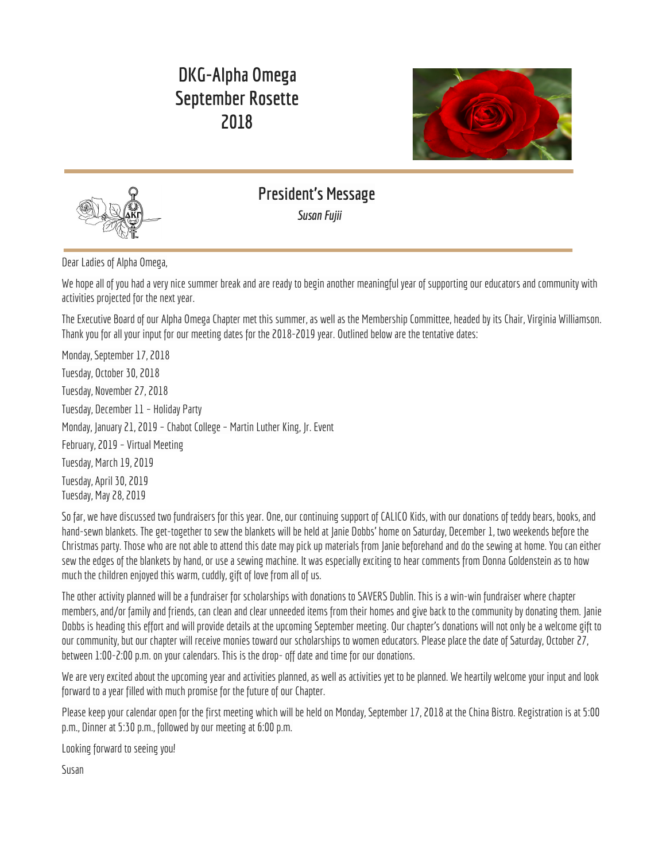## **DKG-Alpha Omega September Rosette 2018**





**President's Message Susan Fujii** 

Dear Ladies of Alpha Omega,

We hope all of you had a very nice summer break and are ready to begin another meaningful year of supporting our educators and community with activities projected for the next year.

The Executive Board of our Alpha Omega Chapter met this summer, as well as the Membership Committee, headed by its Chair, Virginia Williamson. Thank you for all your input for our meeting dates for the 2018-2019 year. Outlined below are the tentative dates:

Monday, September 17, 2018 Tuesday, October 30, 2018 Tuesday, November 27, 2018 Tuesday, December 11 – Holiday Party Monday, January 21, 2019 - Chabot College - Martin Luther King, Jr. Event February, 2019 – Virtual Meeting Tuesday, March 19, 2019 Tuesday, April 30, 2019 Tuesday, May 28, 2019

So far, we have discussed two fundraisers for this year. One, our continuing support of CALICO Kids, with our donations of teddy bears, books, and hand-sewn blankets. The get-together to sew the blankets will be held at Janie Dobbs' home on Saturday, December 1, two weekends before the Christmas party. Those who are not able to attend this date may pick up materials from Janie beforehand and do the sewing at home. You can either sew the edges of the blankets by hand, or use a sewing machine. It was especially exciting to hear comments from Donna Goldenstein as to how much the children enjoyed this warm, cuddly, gift of love from all of us.

The other activity planned will be a fundraiser for scholarships with donations to SAVERS Dublin. This is a win-win fundraiser where chapter members, and/or family and friends, can clean and clear unneeded items from their homes and give back to the community by donating them. Ianie Dobbs is heading this effort and will provide details at the upcoming September meeting. Our chapter's donations will not only be a welcome gift to our community, but our chapter will receive monies toward our scholarships to women educators. Please place the date of Saturday, October 27, between 1:00-2:00 p.m. on your calendars. This is the drop- off date and time for our donations.

We are very excited about the upcoming year and activities planned, as well as activities yet to be planned. We heartily welcome your input and look forward to a year filled with much promise for the future of our Chapter.

Please keep your calendar open for the first meeting which will be held on Monday, September 17, 2018 at the China Bistro. Registration is at 5:00 p.m., Dinner at 5:30 p.m., followed by our meeting at 6:00 p.m.

Looking forward to seeing you!

Susan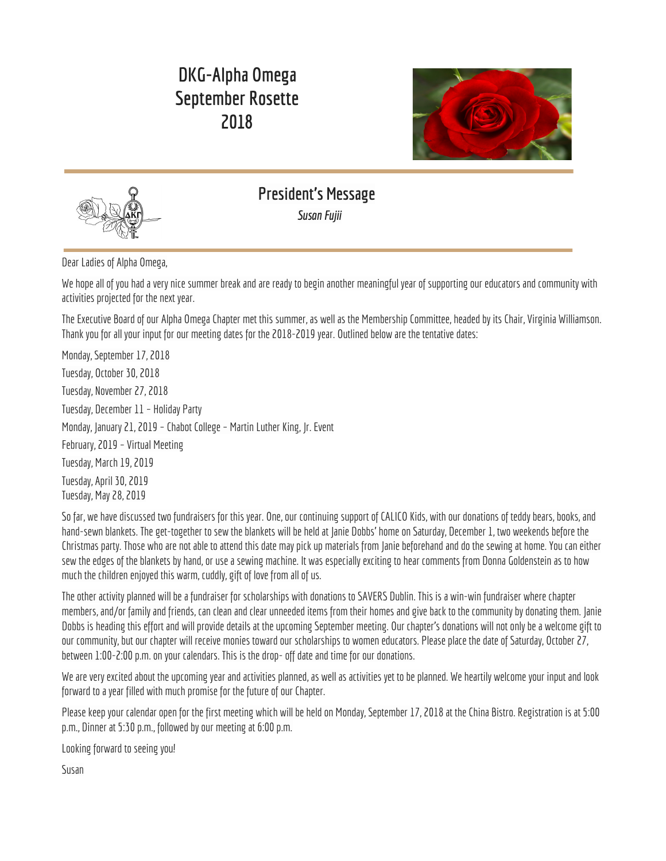

# **Alpha Omega Chapter, Delta Kappa Gamma May 23, 2018**

Ĵ

*Marilyn Baker-Madsen, RecordingSecretary*

**Present:** Marilyn Baker-Madsen, Karin Bercovitz, Barbara Bishr, Janie Dobbs,SusanFujii,Elisabeth Gieger, Mary Ann Gonsalves, Linda Henika, Nonnie Moore, Nancy Wales, Virginia Williamson

**Guests:** Carl Baker-Madsen, Lindsay Dobbs, Renee Rettig, Dorothy Ritchie, Wade Ritchie The May Meeting was held at Books on B owned by Renee Rettig and hosted by Carl and Marilyn Baker-Madsen as a fundraiser for the Alpha Omega Chapter of Delta Kappa Gamma. Members completed a Book Quiz as they enjoyed finger foods and wine tasting.

**Book Quiz, Book Talks & Summer Reading List:** Carl asked thegroupfor their responses onthequiz whichrequired the takers to matchthe quote to the corresponding book title and author. The second quiz required takers to match literary characters with their "sidekicks" and for extra credit to match the authors to their characters. Carl and Marilyn directed members attention to the Summer Reading List and "book talked" each recommendation.

**Call to Order:** The meeting was called to order by President Susan Fujii at 7:05pm.

**Preliminary Approval of Board of Directors for Biennium 2018-2020: A ballot with proposed officers Susan Fujii, President; Virginia** Williamson, Vice President; Nonnie Moore & Susan Levy, Co-Treasurers; Marilyn Baker-Madsen, Recording Secretary; Barbara Bishr & Janie Dobbs, Newsletter Editors; was distributed to members for their vote.

**Approval of FUNDrive Fundraiser:** Janie Dobbs presented information regarding a fundraiser for our Chapter that would entail collecting soft goods (clothing, shoes, bedding, etc.), and hard goods (electrical items, toys & games, kitchen items, etc.) that would be weighed by the pound. Each pound of soft goods would earn \$0.20 and each pound of hard goods would earn \$0.10. It is estimated 167/30 pound bags of soft goods would bring in \$1000.00. Janie recommended that our Chapter consider doing this drive on October 27, 2018 and believes we could probably raise \$500.00. Several members volunteered to serve as drop off points for bags and will transport them to a Savers location. It was moved by Barbara Bishr and seconded by Nonnie Moore to conduct this fundraiser in October. The motion was approved.

**Adjournment:** The meeting was adjourned at 7:20pm.

Next Meeting: Our meeting on Monday, September 17, 2018 will be held at Chef's Experience China Bistro; registration at 5pm, followed by a buffet dinner and meeting.

Respectfully Submitted,

Marilyn Baker-Madsen Recording Secretary

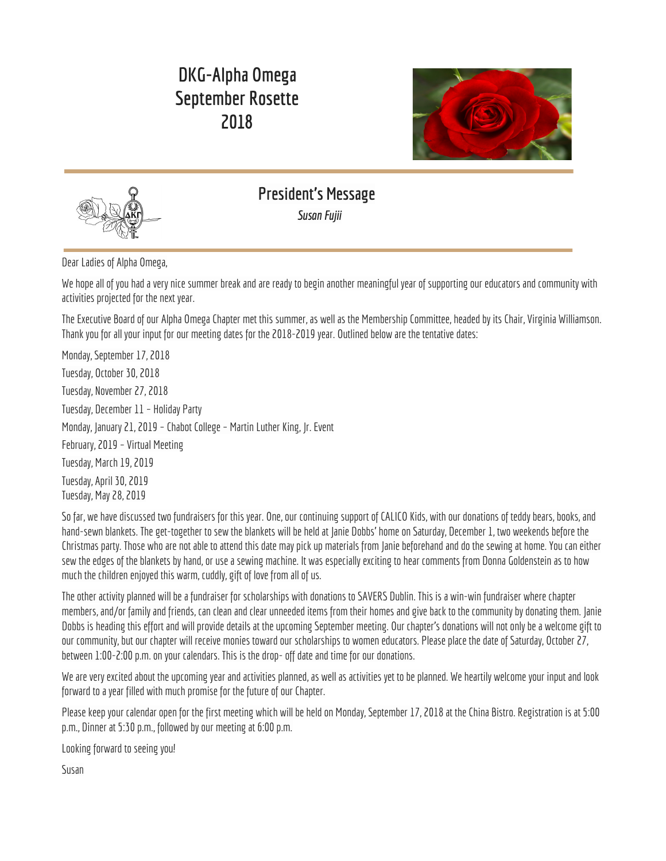

ĵ

## **SEPTEMBER <sup>17</sup> MEETING**



ľ

ĵ

China Bistro

Registration at 5:00. Dinner at 5:30. Meeting following. Please click on the RSVP link below.

<https://goo.gl/forms/hbt5dNnyONpTagIm1>

(It helps to right click on the link and then select "open link. Or you can copy the link and paste it in your browser.)

If for some reason you are unable to open the link, please contact Nonnie Moore at 510-507-2944 or email [nonniemoore303@gmail.com](mailto:nonniemoore303@gmail.com)

### **COME LEARN ABOUT OUR FUNDRAISER IN OCTOBER AND HELP PLAN FOR AN EXCITING YEAR! HOPE TO SEE YOU THERE!**



ĵ ĵ

**¬**

## **Treasurer's Report**

*Nonnie Moore*

**¬ ¬**

**¬**

| Total Awards: Three (3) totaling \$3000.00                                    |  |
|-------------------------------------------------------------------------------|--|
|                                                                               |  |
|                                                                               |  |
| Membership as of June 30, 2018 = 38 members (29 Active, 9 Reserve) $\sqrt{E}$ |  |

**¬**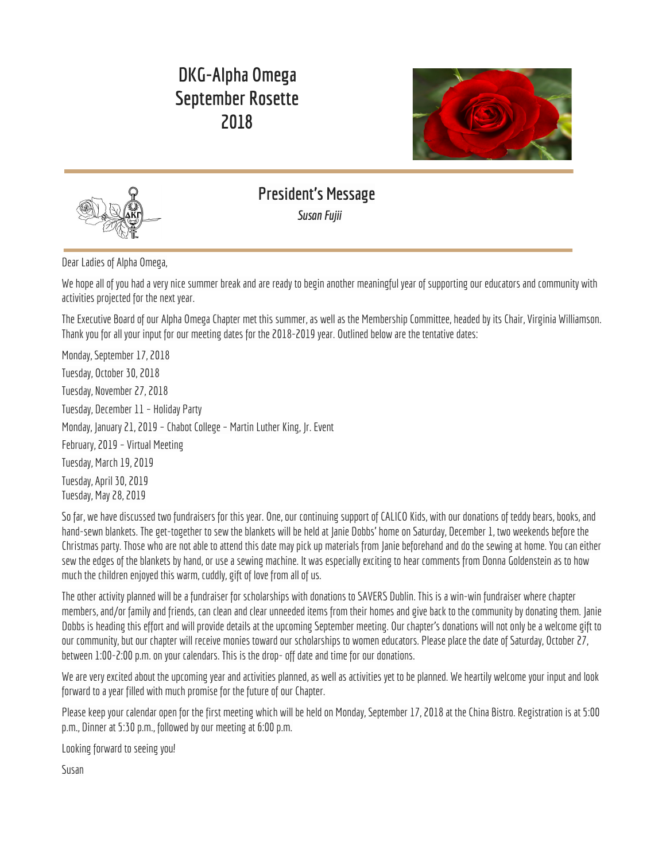**MEMBERSHIP** It's Dues Time! DUE

**\$\$DUES\$\$are due by October 1, 2018. Active members =\$89; Reserve members =\$49. Please send check payable to Alpha Omega to Nonnie Moore, 3309 Streamside Circle #303, Pleasanton, CA 94588.**

**Questions? Nonniemoore303@gmail.com or 510-507-2944.**

**Thank you for supporting Alpha Omega!**



## **The Penne Ferrell Fund Literacy Award Application Due November 1**

DKG California, through the "Support Team for Emerging Professionals" (STEP) committee, awards money each year to beginning teachers to helpthem build their classroom libraries. This award is knownas the **PenneFerrellFund Literacy Award**. A bequest to DKG California from the estate of Penne Ferrell was the basis for the establishment of this award. Penne was an outstanding member of Epsilon Omicron Chapter in Orange County. A dedicated teacher and a lover of books, Penne instilled the joy of teaching in the many new teachers she mentored, always encouraging enthusiasm and excellence in being an educator.

If you know a woman educator who is in her first through third year of teaching, please consider submitting her name to receive an award for an amount up to but not exceeding \$200, intended to finance the cost of books, e-books, or readingapps. These *reading/literacy* resources are intended to supplement curriculum or for a classroom library.

## **The PenneFerrellFund Literacy Award Guidelines**

#### **Whois eligible toapply for the award and how often?**

- A non-Delta Kappa Gamma member
- A woman educator who is in her first through third year of assignment and who is a prospective Delta Kappa Gamma member An educator who has not been a prior recipient

#### **What does the award fund?**

- The award is intended to finance the cost of books, e-books, or reading apps. These *reading/literacy* resources are intended to supplement curriculum or for a classroom library.
- $\cdot$  A recipient may receive an award for an amount up to but not exceeding \$200.

#### **How are applicants notified after applying?**

- $\cdot$  A limited number of applications will be funded pending availability of funds. When the award application is approved or declined, the applicant will be notified by email from the committee.
- DKG members are encouraged to donate to the Penne Ferrell Fund regularly.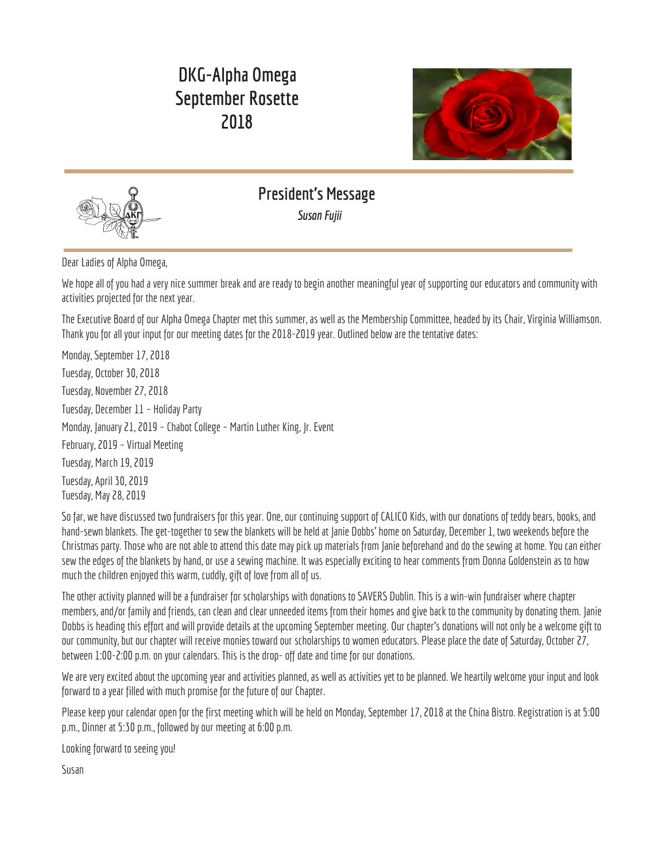#### **What is the Application Process?**

Applications must be submitted *electronically* at<https://goo.gl/forms/WCIhZ0rqY2WqRLsD3> Applicants must be recommended by a current DKG member. The information of the recommending DKG member and the applicant is required to complete the form. All fields must be completed in order to submit the application. Print a copy of the confirmation page for your records. If a confirmation page does not appear, your application has not been submitted. Applications are dueno later than **November 1**. Late applications willnot be considered. The state committee will review the application and determine the eligibility of the applicant. Selected awardees will receive an electronic letter of recognition and be funded in a timely manner. The certificate and award check should be presented to the awardee at a chapter/area event or at her place of employment. Photos of such events should be sent to the committee at dkgcastep1@gmail.com to be included in the convention presentation the first weekend in May. Recipients are required to email a photo of the resources funded by this award to dkgcastep1@gmail.com by the end of April. Recipients will be acknowledged in the DKG California Convention program.

Please consider recommending a beginning teacher for this award! Feel free to contact Virginia Williamson at 510-604-1744 or ginnydon@pacbell.net if you would like more information.



İ

## **Legislative Report** *Nancy* **Wales and Sandy Daly**

#### Welcome back everyone!

It's a new year, new beginnings, a clean slate. The political and legislative landscape is ever changing, ever worrying, and a real minefield for those of you working so hard in classrooms. I ran into this quote on Facebook and it needs to be shared.

"I disagree withyou. It doesn't meanI dislike youor that I'm mad at you. It just means that like you, Ihave my ownopinions. I won't treat you disrespectfully just because we share differing opinions. Give me the same respect."

If everyone from the President on down would just do this, our country would be much better off. The hatred and name calling and disrespect are terrible for our country.

Have you chosen your weapon yet? Some people want to give teachers guns. The Secretary of Education wants to use Federal funds to arm teachers! Those of us who have worked with struggling teachers know this is a recipe for disaster. Can every teacher always keep his/her temper in check? Do we have to wear holsters? The whole idea is appalling. Working teachers, retired teachers, teacher trainers must stand up and stop this from happening. Contact our Senators, Dianne Feinstein and Kamala Harris to voice your opinion on this important matter. Let you Congressional Representative know it, too. Now is not the time to be silent. I have included contact info at the end of this article.

Finally, this November is likely to be the most important election in your life. You must vote. You must help get others to vote. Women's rights are in serious jeopardy. Young women need to vote. There is no staying home. If all the eligible young women voted, they could control the elections and this country. JUST VOTE!

(202) 224-3841 (202) 224-3553

Senator Dianne Feinstein Senator Kamala Harris Nancy Pelosi (202) 225-4965 331 Hart Senate Office Building 112 Hart Senate Office Building Barbara Lee (202225-2661 Washington, DC 20510 Washington, D.C 20510 EricSwalwell (202) 225-5065 [www.feinstein.senate.gov](http://www.feinstein.senate.gov/) [https://www.harris.senate.gov/contact/email](http://www.feinstein.senate.gov/)

Nancy Wales **¬**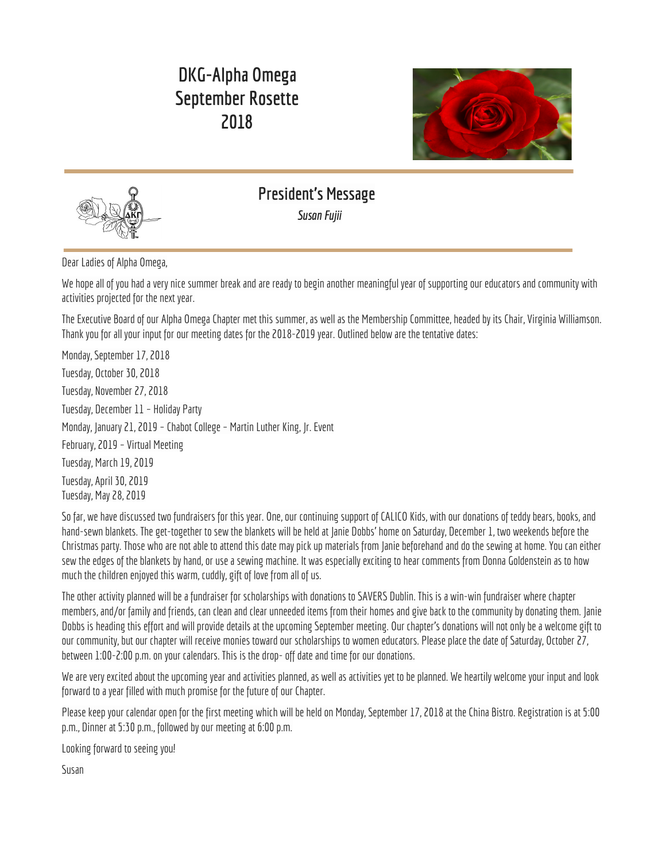

## **Book Notes** *Marilyn Baker-Madsen*

Following are my favorite reads of this summer:

Armor Towel's, A Gentleman In Moscow, is a compelling and beautifully told story about Count Alexander Rostov who is labeled an unrepentant aristocrat by a Bolshevik Tribunal in 1922 and is sentenced to house arrest in the luxurious Metropol hotel in Moscow. He is made to vacate his opulent suite of rooms and to move to small attic quarters in the hotel where he lives out the rest of his days. This charming novel boasts a cast of well-developed characters that people the passing decades as Rostov makes a whole world out of his hotel confinement and limited circumstances during the thirty year saga. Just the right amount of historical background is incorporated into the book that chronicles the conditions and changes in Russia following the Revolution. The finely composed book is structured with chapters advancing by a doubling principle  $-1$  day after the arrest, 2 days, 5 days, 10 days, 3 weeks, 6 weeks, 3 months, etc. This charming story of Count Rostov, an indomitable man of erudition and wit, unfolds wonderfully as new opportunities and adventures present themselves to him over the years.

Andy Weir, the best-sellingauthor of **The Martian**, is back witha techno-thriller **Artemis**. This action-packednovel takesplace inthe late 2080's and is set in Artemis, the only city on the moon. Jasmine "Jazz" Bashara, the protagonist, has debts and her job as a porter barely covers the rent on a sleep pod, so she smuggles contraband on the side to help ends meet. Jazz has a chance to get out of her meager circumstances when she is offered a lucrative award if she is willing to commit the perfect crime. Pulling off the heist is just the start of a brick wall of problems she runs into as she discovers a conspiracy for control of Artemis. Her only chance of survival is dependent on a calculated move even riskier than the first. This heist story is a fast paced adventure with all the fascinating scientific explanations that peppered The Martian which I liked better than Artemis; however, I enjoyed the book and think it would make asgood, ifnot better, movie than**The Martian**.

Worldwide bestsellingauthor, Ruth Ware, adds **The Death of Mrs. Westaway**, to the list ofher first three books, **In a Dark, Dark Wood**, **The Woman in Cabin 10** and **The Lying Game**. This latest book continues Ware's signature suspenseful style. Thispsychological thriller washard to put down. The cast of intriguing characters swirl through dark and menacing situations with suspense growing with each new revelation. Just when you think you know "who done it," the plot twists and turns in new and ever darkening intrigues. The heroine, "Hal" (Harriet Westaway) is at the end of her ability to cope following the death of her mother and a growing debt to a shyster who is sending thugs to threaten her for more money. When she receives a letter about a possible substantial inheritance, Hal jumps at the chance to change her dire circumstances even though she knows that she is not the person for whom the letter was intended. We ride a roller coaster of emotions with Hal as she attempts the most impossible deception. This was my first Ware book and quite the page-turner. I will certainly read the first three of her novels!



Ĵ

**Committee News** *What are weup to?*

## **FUNDRAISER**





**¬**

**SAVE THE DATE! October 27, 2018 1:00 – 2:00**

Ĵ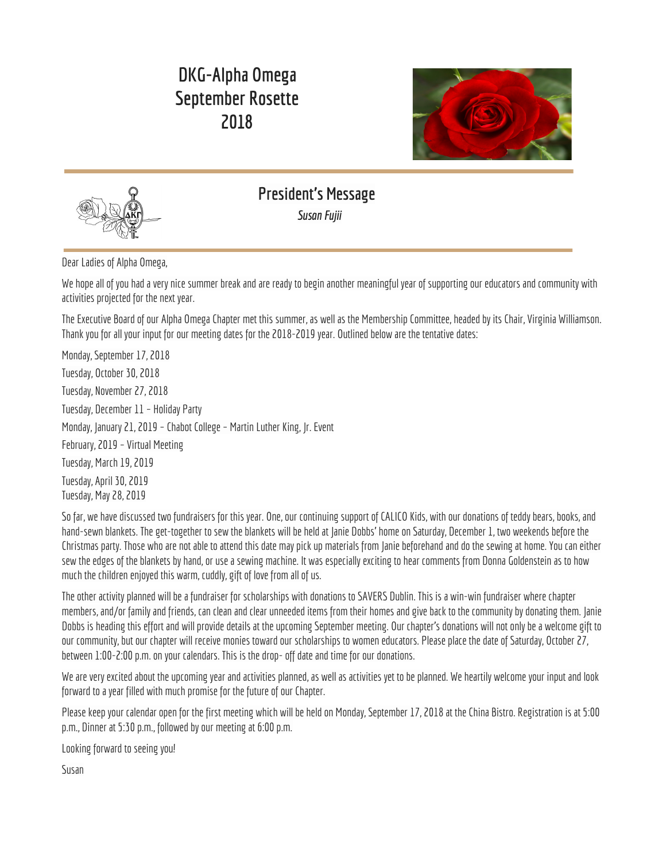#### **Drop off location: Dublin Savers 7117 Regional St., Dublin**

#### **DON'T COLLECT BOOKS**

They only pay \$0.02/pound for books AND they must be in a separate box.

#### **DON'T COLLECT LARGE ITEMS**

Anything that doesn't fit in a 20" x 20" box will only net us  $5 \oplus$  per item.

Decide whether or not you will drop off your own bags and boxes at Dublin Savers between 1:00-2:00 If you don't drive your own items to Dublin Savers, you will have to arrange to drop off your items or have them picked up by one of the volunteer drivers.

Current volunteer drivers are Susan Fujii, Virginia Williamson, Susan Levy and Janie Dobbs. Contact one of us and we will can make arrangements. All drivers will want the items BEFORE the drop-off date, October 27.

#### **START PRE-COLLECTING NOW! TELL YOUR FRIENDS,FAMILY & NEIGHBORS NOW TO START SAVING CLOTHES, ETC FOR YOU!**

**See the flyer below to know what tocollect!**

**Questions? Callor email Janie Dobbs - 925-413-7553 or [janie.dobbs@aol.com](mailto:janie.dobbs@aol.com).**

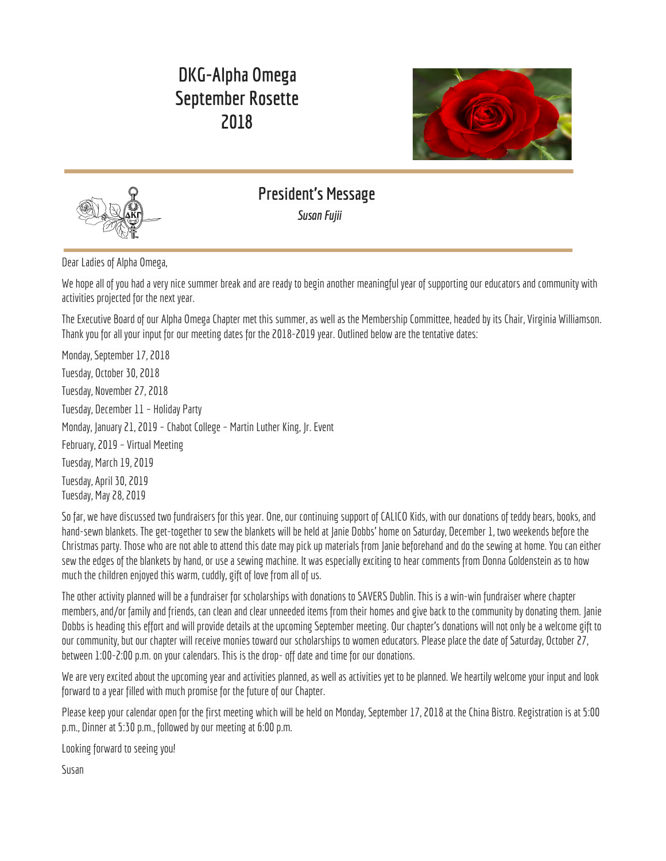## **Alpha Omega Chapter Calendar 2018 - 2019**



| September 17        | Chapter Meeting at Chef's Experience China Bistro                                                                                                                                                    |
|---------------------|------------------------------------------------------------------------------------------------------------------------------------------------------------------------------------------------------|
| October 27          | Chapter Fundraiser -Dublin Savers, 7117 Regional St.,, Dublin from 1:00-2:00<br>If you can't drop off the items you collected, contact a driver and arrange to have them<br>take your items for you. |
| October 30          | <b>Chapter Meeting</b>                                                                                                                                                                               |
| November 1          | Penne Ferrell Fund Literacy Award<br>Deadline for Submission                                                                                                                                         |
| November 27         | <b>Chapter Meeting</b>                                                                                                                                                                               |
| December 1          | Blanket Making Party at Janie's                                                                                                                                                                      |
| December 1          | Distinguished Career/Professional Service Award<br>Deadline for Submission                                                                                                                           |
| December 1          | Distinguished Service to DKG California<br>Deadline for Submission                                                                                                                                   |
| December 11         | <b>Tentative Holiday Party</b>                                                                                                                                                                       |
| December 31         | Scholarship Grants/Awards<br>Deadline for Submission                                                                                                                                                 |
| January 21          | Chabot College - Martin Luther King, Jr. Event                                                                                                                                                       |
| February            | <b>Chapter Virtual Meeting</b>                                                                                                                                                                       |
| March 1             | Chapter Service Award<br>Deadline for Submission                                                                                                                                                     |
| Tuesday. March 19   | <b>Chapter Meeting</b>                                                                                                                                                                               |
| Tuesday, April 30   | <b>Chapter Meeting</b>                                                                                                                                                                               |
| May 3-5             | California Convention in Burlingame                                                                                                                                                                  |
| Tuesday, May 28     | <b>Chapter Meeting</b>                                                                                                                                                                               |
| Thursday, August 15 | Hayward Third Thursday Street Party                                                                                                                                                                  |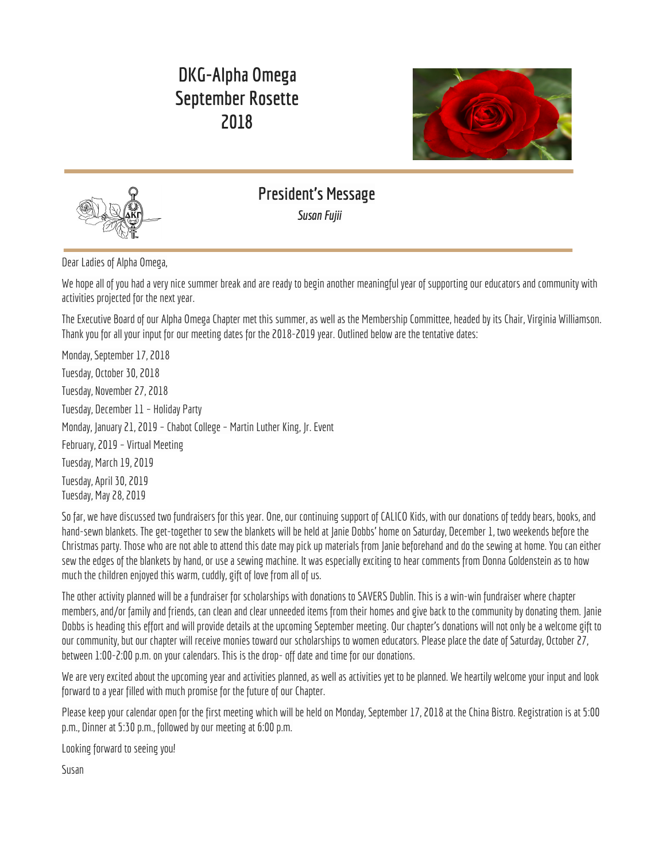

## **The Delta Kappa Gamma Society International SEVEN PURPOSES**

- 1. To unite women educators of the world in a genuine spiritual fellowship;
- 2. To honor women who have given or who evidence a potential for distinctive service in any field of education;
- 3. To advance the professional interest and position of women in education;
- 4. To initiate, endorse, and support desirable legislation in the interests of education and of women educators;
- 5. To endow scholarships to aid outstanding women educators in pursuing graduate study and to grant fellowships to women educators from other countries;
- 6. To stimulate the personal and professional growth of members and to encourage their participation in appropriate programs of action;
- 7. To inform the membership of current economic, social, political, and educational issues to the end that they may become intelligent, functioning members of a world society.



## **Best Wishes to our Member Birthday Gals!**



 Donna Goldenstein 1 Mary Kincaid Nonnie Moore 2 NormaSakamoto SusanFujii 24 Nancy Wales Jeanne Lycett 25 Norine Dolyniuk Nancy Christensen Jean Groth

# **August Celebrations September Celebrations**

ĵ